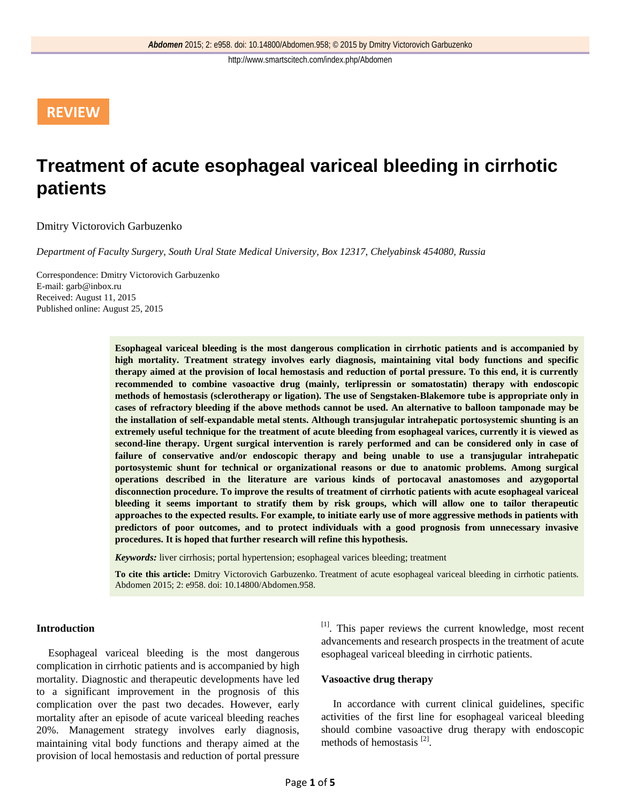## **REVIEW**

# **Treatment of acute esophageal variceal bleeding in cirrhotic patients**

Dmitry Victorovich Garbuzenko

*Department of Faculty Surgery, South Ural State Medical University, Box 12317, Chelyabinsk 454080, Russia*

Correspondence: Dmitry Victorovich Garbuzenko E-mail: garb@inbox.ru Received: August 11, 2015 Published online: August 25, 2015

> **Esophageal variceal bleeding is the most dangerous complication in cirrhotic patients and is accompanied by high mortality. Treatment strategy involves early diagnosis, maintaining vital body functions and specific therapy aimed at the provision of local hemostasis and reduction of portal pressure. To this end, it is currently recommended to combine vasoactive drug (mainly, terlipressin or somatostatin) therapy with endoscopic methods of hemostasis (sclerotherapy or ligation). The use of Sengstaken-Blakemore tube is appropriate only in cases of refractory bleeding if the above methods cannot be used. An alternative to balloon tamponade may be the installation of self-expandable metal stents. Although transjugular intrahepatic portosystemic shunting is an extremely useful technique for the treatment of acute bleeding from esophageal varices, currently it is viewed as second-line therapy. Urgent surgical intervention is rarely performed and can be considered only in case of failure of conservative and/or endoscopic therapy and being unable to use a transjugular intrahepatic portosystemic shunt for technical or organizational reasons or due to anatomic problems. Among surgical operations described in the literature are various kinds of portocaval anastomoses and azygoportal disconnection procedure. To improve the results of treatment of cirrhotic patients with acute esophageal variceal bleeding it seems important to stratify them by risk groups, which will allow one to tailor therapeutic approaches to the expected results. For example, to initiate early use of more aggressive methods in patients with predictors of poor outcomes, and to protect individuals with a good prognosis from unnecessary invasive procedures. It is hoped that further research will refine this hypothesis.**

*Keywords:* liver cirrhosis; portal hypertension; esophageal varices bleeding; treatment

**To cite this article:** Dmitry Victorovich Garbuzenko. Treatment of acute esophageal variceal bleeding in cirrhotic patients. Abdomen 2015; 2: e958. doi: 10.14800/Abdomen.958.

### **Introduction**

Esophageal variceal bleeding is the most dangerous complication in cirrhotic patients and is accompanied by high mortality. Diagnostic and therapeutic developments have led to a significant improvement in the prognosis of this complication over the past two decades. However, early mortality after an episode of acute variceal bleeding reaches 20%. Management strategy involves early diagnosis, maintaining vital body functions and therapy aimed at the provision of local hemostasis and reduction of portal pressure

[1]. This paper reviews the current knowledge, most recent advancements and research prospects in the treatment of acute esophageal variceal bleeding in cirrhotic patients.

### **Vasoactive drug therapy**

In accordance with current clinical guidelines, specific activities of the first line for esophageal variceal bleeding should combine vasoactive drug therapy with endoscopic methods of hemostasis [2].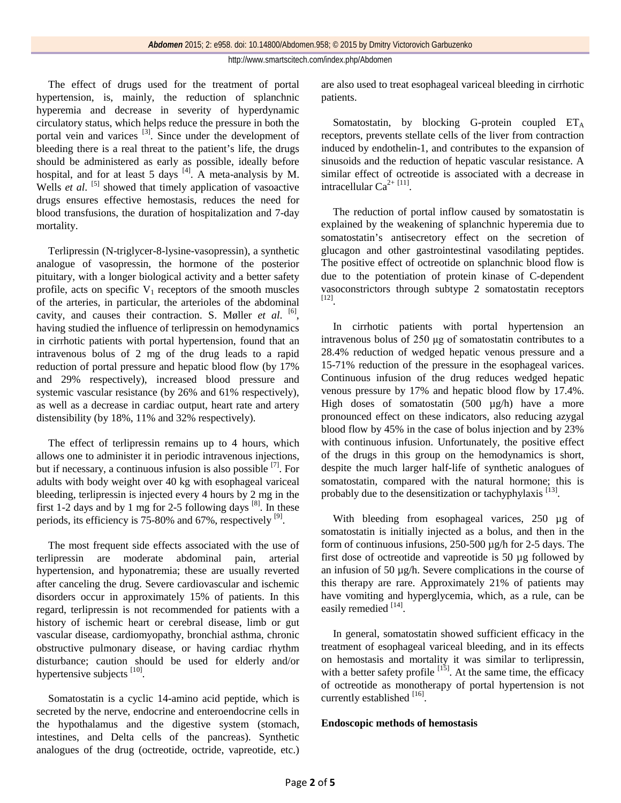The effect of drugs used for the treatment of portal hypertension, is, mainly, the reduction of splanchnic hyperemia and decrease in severity of hyperdynamic circulatory status, which helps reduce the pressure in both the portal vein and varices <sup>[3]</sup>. Since under the development of bleeding there is a real threat to the patient's life, the drugs should be administered as early as possible, ideally before hospital, and for at least 5 days  $\frac{14}{4}$ . A meta-analysis by M. Wells *et al.* <sup>[5]</sup> showed that timely application of vasoactive drugs ensures effective hemostasis, reduces the need for blood transfusions, the duration of hospitalization and 7-day mortality.

Terlipressin (N-triglycer-8-lysine-vasopressin), a synthetic analogue of vasopressin, the hormone of the posterior pituitary, with a longer biological activity and a better safety profile, acts on specific  $V_1$  receptors of the smooth muscles of the arteries, in particular, the arterioles of the abdominal cavity, and causes their contraction. S. Møller *et al*. [6], having studied the influence of terlipressin on hemodynamics in cirrhotic patients with portal hypertension, found that an intravenous bolus of 2 mg of the drug leads to a rapid reduction of portal pressure and hepatic blood flow (by 17% and 29% respectively), increased blood pressure and systemic vascular resistance (by 26% and 61% respectively), as well as a decrease in cardiac output, heart rate and artery distensibility (by 18%, 11% and 32% respectively).

The effect of terlipressin remains up to 4 hours, which allows one to administer it in periodic intravenous injections, but if necessary, a continuous infusion is also possible  $^{[7]}$ . For adults with body weight over 40 kg with esophageal variceal bleeding, terlipressin is injected every 4 hours by 2 mg in the first 1-2 days and by 1 mg for 2-5 following days  $^{[8]}$ . In these periods, its efficiency is  $75-80\%$  and 67%, respectively  $^{[9]}$ .

The most frequent side effects associated with the use of terlipressin are moderate abdominal pain, arterial hypertension, and hyponatremia; these are usually reverted after canceling the drug. Severe cardiovascular and ischemic disorders occur in approximately 15% of patients. In this regard, terlipressin is not recommended for patients with a history of ischemic heart or cerebral disease, limb or gut vascular disease, cardiomyopathy, bronchial asthma, chronic obstructive pulmonary disease, or having cardiac rhythm disturbance; caution should be used for elderly and/or hypertensive subjects <sup>[10]</sup>.

Somatostatin is a cyclic 14-amino acid peptide, which is secreted by the nerve, endocrine and enteroendocrine cells in the hypothalamus and the digestive system (stomach, intestines, and Delta cells of the pancreas). Synthetic analogues of the drug (octreotide, octride, vapreotide, etc.) are also used to treat esophageal variceal bleeding in cirrhotic patients.

Somatostatin, by blocking G-protein coupled  $ET_A$ receptors, prevents stellate cells of the liver from contraction induced by endothelin-1, and contributes to the expansion of sinusoids and the reduction of hepatic vascular resistance. A similar effect of octreotide is associated with a decrease in intracellular  $Ca^{2+ [11]}$ .

The reduction of portal inflow caused by somatostatin is explained by the weakening of splanchnic hyperemia due to somatostatin's antisecretory effect on the secretion of glucagon and other gastrointestinal vasodilating peptides. The positive effect of octreotide on splanchnic blood flow is due to the potentiation of protein kinase of C-dependent vasoconstrictors through subtype 2 somatostatin receptors [12].

In cirrhotic patients with portal hypertension an intravenous bolus of 250 μg of somatostatin contributes to a 28.4% reduction of wedged hepatic venous pressure and a 15-71% reduction of the pressure in the esophageal varices. Continuous infusion of the drug reduces wedged hepatic venous pressure by 17% and hepatic blood flow by 17.4%. High doses of somatostatin  $(500 \text{ µg/h})$  have a more pronounced effect on these indicators, also reducing azygal blood flow by 45% in the case of bolus injection and by 23% with continuous infusion. Unfortunately, the positive effect of the drugs in this group on the hemodynamics is short, despite the much larger half-life of synthetic analogues of somatostatin, compared with the natural hormone; this is probably due to the desensitization or tachyphylaxis [13].

With bleeding from esophageal varices, 250 µg of somatostatin is initially injected as a bolus, and then in the form of continuous infusions, 250-500 µg/h for 2-5 days. The first dose of octreotide and vapreotide is 50 µg followed by an infusion of 50 µg/h. Severe complications in the course of this therapy are rare. Approximately 21% of patients may have vomiting and hyperglycemia, which, as a rule, can be easily remedied [14].

In general, somatostatin showed sufficient efficacy in the treatment of esophageal variceal bleeding, and in its effects on hemostasis and mortality it was similar to terlipressin, with a better safety profile  $\begin{bmatrix} 15 \end{bmatrix}$ . At the same time, the efficacy of octreotide as monotherapy of portal hypertension is not currently established [16].

## **Endoscopic methods of hemostasis**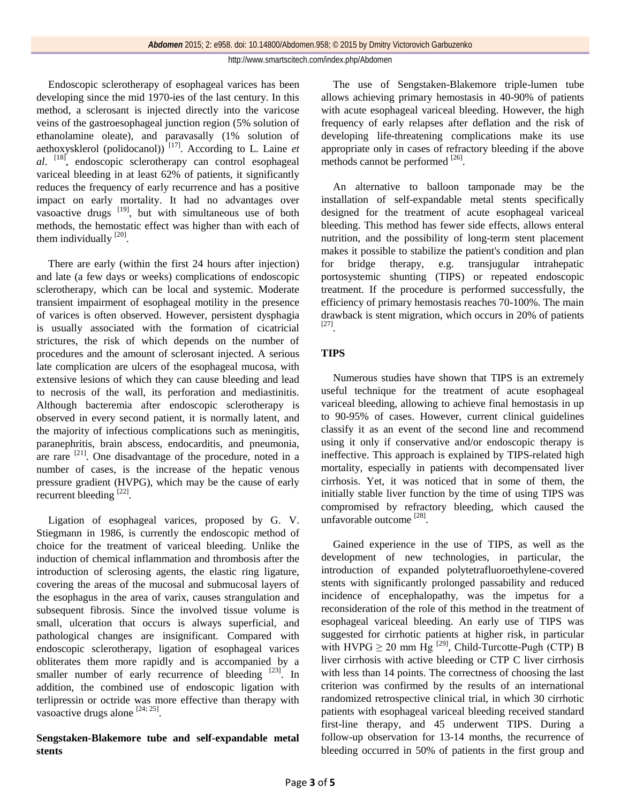Endoscopic sclerotherapy of esophageal varices has been developing since the mid 1970-ies of the last century. In this method, a sclerosant is injected directly into the varicose veins of the gastroesophageal junction region (5% solution of ethanolamine oleate), and paravasally (1% solution of aethoxysklerol (polidocanol)) [17]. According to L. Laine *et al*. [18], endoscopic sclerotherapy can control esophageal variceal bleeding in at least 62% of patients, it significantly reduces the frequency of early recurrence and has a positive impact on early mortality. It had no advantages over vasoactive drugs  $[19]$ , but with simultaneous use of both methods, the hemostatic effect was higher than with each of them individually  $^{[20]}$ .

There are early (within the first 24 hours after injection) and late (a few days or weeks) complications of endoscopic sclerotherapy, which can be local and systemic. Moderate transient impairment of esophageal motility in the presence of varices is often observed. However, persistent dysphagia is usually associated with the formation of cicatricial strictures, the risk of which depends on the number of procedures and the amount of sclerosant injected. A serious late complication are ulcers of the esophageal mucosa, with extensive lesions of which they can cause bleeding and lead to necrosis of the wall, its perforation and mediastinitis. Although bacteremia after endoscopic sclerotherapy is observed in every second patient, it is normally latent, and the majority of infectious complications such as meningitis, paranephritis, brain abscess, endocarditis, and pneumonia, are rare  $[21]$ . One disadvantage of the procedure, noted in a number of cases, is the increase of the hepatic venous pressure gradient (HVPG), which may be the cause of early recurrent bleeding [22].

Ligation of esophageal varices, proposed by G. V. Stiegmann in 1986, is currently the endoscopic method of choice for the treatment of variceal bleeding. Unlike the induction of chemical inflammation and thrombosis after the introduction of sclerosing agents, the elastic ring ligature, covering the areas of the mucosal and submucosal layers of the esophagus in the area of varix, causes strangulation and subsequent fibrosis. Since the involved tissue volume is small, ulceration that occurs is always superficial, and pathological changes are insignificant. Compared with endoscopic sclerotherapy, ligation of esophageal varices obliterates them more rapidly and is accompanied by a smaller number of early recurrence of bleeding  $[23]$ . In addition, the combined use of endoscopic ligation with terlipressin or octride was more effective than therapy with vasoactive drugs alone  $[24; 25]$ .

## **Sengstaken-Blakemore tube and self-expandable metal stents**

The use of Sengstaken-Blakemore triple-lumen tube allows achieving primary hemostasis in 40-90% of patients with acute esophageal variceal bleeding. However, the high frequency of early relapses after deflation and the risk of developing life-threatening complications make its use appropriate only in cases of refractory bleeding if the above methods cannot be performed <sup>[26]</sup>.

An alternative to balloon tamponade may be the installation of self-expandable metal stents specifically designed for the treatment of acute esophageal variceal bleeding. This method has fewer side effects, allows enteral nutrition, and the possibility of long-term stent placement makes it possible to stabilize the patient's condition and plan for bridge therapy, e.g. transjugular intrahepatic portosystemic shunting (TIPS) or repeated endoscopic treatment. If the procedure is performed successfully, the efficiency of primary hemostasis reaches 70-100%. The main drawback is stent migration, which occurs in 20% of patients [27].

## **TIPS**

Numerous studies have shown that TIPS is an extremely useful technique for the treatment of acute esophageal variceal bleeding, allowing to achieve final hemostasis in up to 90-95% of cases. However, current clinical guidelines classify it as an event of the second line and recommend using it only if conservative and/or endoscopic therapy is ineffective. This approach is explained by TIPS-related high mortality, especially in patients with decompensated liver cirrhosis. Yet, it was noticed that in some of them, the initially stable liver function by the time of using TIPS was compromised by refractory bleeding, which caused the unfavorable outcome [28].

Gained experience in the use of TIPS, as well as the development of new technologies, in particular, the introduction of expanded polytetrafluoroethylene-covered stents with significantly prolonged passability and reduced incidence of encephalopathy, was the impetus for a reconsideration of the role of this method in the treatment of esophageal variceal bleeding. An early use of TIPS was suggested for cirrhotic patients at higher risk, in particular with HVPG  $\geq$  20 mm Hg<sup>[29]</sup>, Child-Turcotte-Pugh (CTP) B liver cirrhosis with active bleeding or CTP C liver cirrhosis with less than 14 points. The correctness of choosing the last criterion was confirmed by the results of an international randomized retrospective clinical trial, in which 30 cirrhotic patients with esophageal variceal bleeding received standard first-line therapy, and 45 underwent TIPS. During a follow-up observation for 13-14 months, the recurrence of bleeding occurred in 50% of patients in the first group and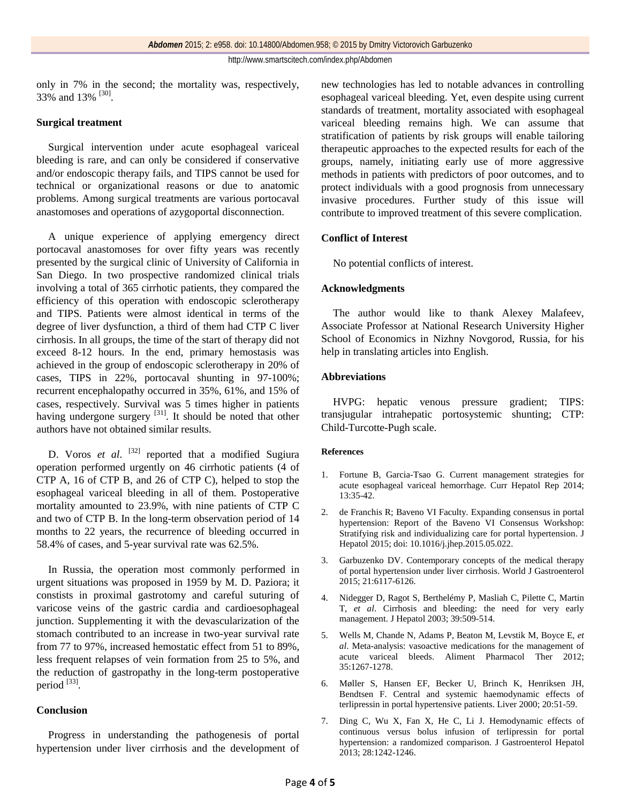only in 7% in the second; the mortality was, respectively, 33% and 13% <sup>[30]</sup>.

## **Surgical treatment**

Surgical intervention under acute esophageal variceal bleeding is rare, and can only be considered if conservative and/or endoscopic therapy fails, and TIPS cannot be used for technical or organizational reasons or due to anatomic problems. Among surgical treatments are various portocaval anastomoses and operations of azygoportal disconnection.

A unique experience of applying emergency direct portocaval anastomoses for over fifty years was recently presented by the surgical clinic of University of California in San Diego. In two prospective randomized clinical trials involving a total of 365 cirrhotic patients, they compared the efficiency of this operation with endoscopic sclerotherapy and TIPS. Patients were almost identical in terms of the degree of liver dysfunction, a third of them had CTP C liver cirrhosis. In all groups, the time of the start of therapy did not exceed 8-12 hours. In the end, primary hemostasis was achieved in the group of endoscopic sclerotherapy in 20% of cases, TIPS in 22%, portocaval shunting in 97-100%; recurrent encephalopathy occurred in 35%, 61%, and 15% of cases, respectively. Survival was 5 times higher in patients having undergone surgery  $[31]$ . It should be noted that other authors have not obtained similar results.

D. Voros *et al.* <sup>[32]</sup> reported that a modified Sugiura operation performed urgently on 46 cirrhotic patients (4 of CTP A, 16 of CTP B, and 26 of CTP C), helped to stop the esophageal variceal bleeding in all of them. Postoperative mortality amounted to 23.9%, with nine patients of CTP C and two of CTP B. In the long-term observation period of 14 months to 22 years, the recurrence of bleeding occurred in 58.4% of cases, and 5-year survival rate was 62.5%.

In Russia, the operation most commonly performed in urgent situations was proposed in 1959 by M. D. Paziora; it constists in proximal gastrotomy and careful suturing of varicose veins of the gastric cardia and cardioesophageal junction. Supplementing it with the devascularization of the stomach contributed to an increase in two-year survival rate from 77 to 97%, increased hemostatic effect from 51 to 89%, less frequent relapses of vein formation from 25 to 5%, and the reduction of gastropathy in the long-term postoperative period [33].

## **Conclusion**

Progress in understanding the pathogenesis of portal hypertension under liver cirrhosis and the development of new technologies has led to notable advances in controlling esophageal variceal bleeding. Yet, even despite using current standards of treatment, mortality associated with esophageal variceal bleeding remains high. We can assume that stratification of patients by risk groups will enable tailoring therapeutic approaches to the expected results for each of the groups, namely, initiating early use of more aggressive methods in patients with predictors of poor outcomes, and to protect individuals with a good prognosis from unnecessary invasive procedures. Further study of this issue will contribute to improved treatment of this severe complication.

## **Conflict of Interest**

No potential conflicts of interest.

## **Acknowledgments**

The author would like to thank Alexey Malafeev, Associate Professor at National Research University Higher School of Economics in Nizhny Novgorod, Russia, for his help in translating articles into English.

## **Abbreviations**

HVPG: hepatic venous pressure gradient; TIPS: transjugular intrahepatic portosystemic shunting; CTP: Child-Turcotte-Pugh scale.

## **References**

- 1. Fortune B, Garcia-Tsao G. Current management strategies for acute esophageal variceal hemorrhage. Curr Hepatol Rep 2014; 13:35-42.
- 2. de Franchis R; Baveno VI Faculty. Expanding consensus in portal hypertension: Report of the Baveno VI Consensus Workshop: Stratifying risk and individualizing care for portal hypertension. J Hepatol 2015; doi: 10.1016/j.jhep.2015.05.022.
- 3. Garbuzenko DV. Contemporary concepts of the medical therapy of portal hypertension under liver cirrhosis. World J Gastroenterol 2015; 21:6117-6126.
- 4. Nidegger D, Ragot S, Berthelémy P, Masliah C, Pilette C, Martin T, *et al*. Cirrhosis and bleeding: the need for very early management. J Hepatol 2003; 39:509-514.
- 5. Wells M, Chande N, Adams P, Beaton M, Levstik M, Boyce E, *et al*. Meta-analysis: vasoactive medications for the management of acute variceal bleeds. Aliment Pharmacol Ther 2012; 35:1267-1278.
- 6. Møller S, Hansen EF, Becker U, Brinch K, Henriksen JH, Bendtsen F. Central and systemic haemodynamic effects of terlipressin in portal hypertensive patients. Liver 2000; 20:51-59.
- 7. Ding C, Wu X, Fan X, He C, Li J. Hemodynamic effects of continuous versus bolus infusion of terlipressin for portal hypertension: a randomized comparison. J Gastroenterol Hepatol 2013; 28:1242-1246.